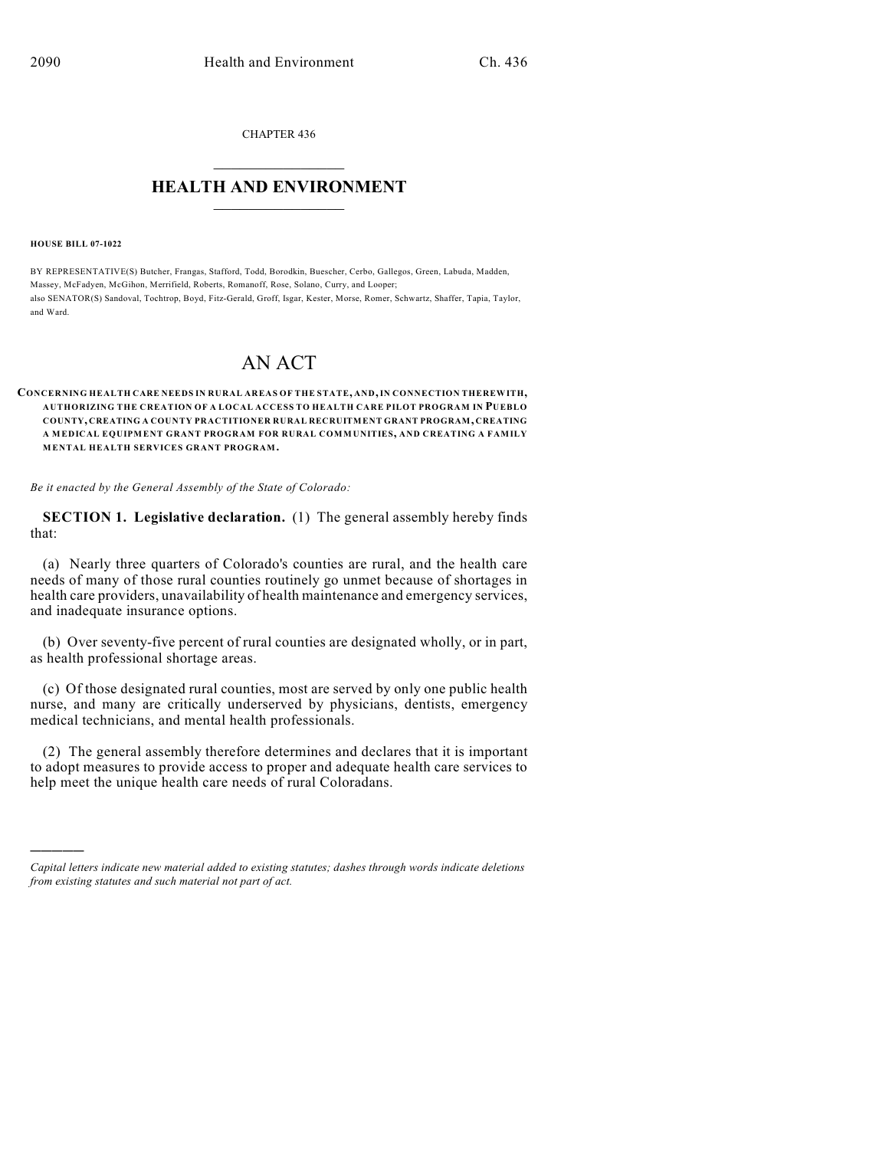CHAPTER 436

## $\overline{\phantom{a}}$  . The set of the set of the set of the set of the set of the set of the set of the set of the set of the set of the set of the set of the set of the set of the set of the set of the set of the set of the set o **HEALTH AND ENVIRONMENT**  $\_$

**HOUSE BILL 07-1022**

)))))

BY REPRESENTATIVE(S) Butcher, Frangas, Stafford, Todd, Borodkin, Buescher, Cerbo, Gallegos, Green, Labuda, Madden, Massey, McFadyen, McGihon, Merrifield, Roberts, Romanoff, Rose, Solano, Curry, and Looper; also SENATOR(S) Sandoval, Tochtrop, Boyd, Fitz-Gerald, Groff, Isgar, Kester, Morse, Romer, Schwartz, Shaffer, Tapia, Taylor, and Ward.

## AN ACT

## **CONCERNING HEALTH CARE NEEDS IN RURAL AREAS OF THE STATE, AND, IN CONNECTION THEREWITH, AUTHORIZING THE CREATION OF A LOCAL ACCESS TO HEALTH CARE PILOT PROGRAM IN PUEBLO COUNTY, CREATING A COUNTY PRACTITIONER RURAL RECRUITMENT GRANT PROGRAM, CREATING A MEDICAL EQUIPMENT GRANT PROGRAM FOR RURAL COMMUNITIES, AND CREATING A FAMILY MENTAL HEALTH SERVICES GRANT PROGRAM.**

*Be it enacted by the General Assembly of the State of Colorado:*

**SECTION 1. Legislative declaration.** (1) The general assembly hereby finds that:

(a) Nearly three quarters of Colorado's counties are rural, and the health care needs of many of those rural counties routinely go unmet because of shortages in health care providers, unavailability of health maintenance and emergency services, and inadequate insurance options.

(b) Over seventy-five percent of rural counties are designated wholly, or in part, as health professional shortage areas.

(c) Of those designated rural counties, most are served by only one public health nurse, and many are critically underserved by physicians, dentists, emergency medical technicians, and mental health professionals.

(2) The general assembly therefore determines and declares that it is important to adopt measures to provide access to proper and adequate health care services to help meet the unique health care needs of rural Coloradans.

*Capital letters indicate new material added to existing statutes; dashes through words indicate deletions from existing statutes and such material not part of act.*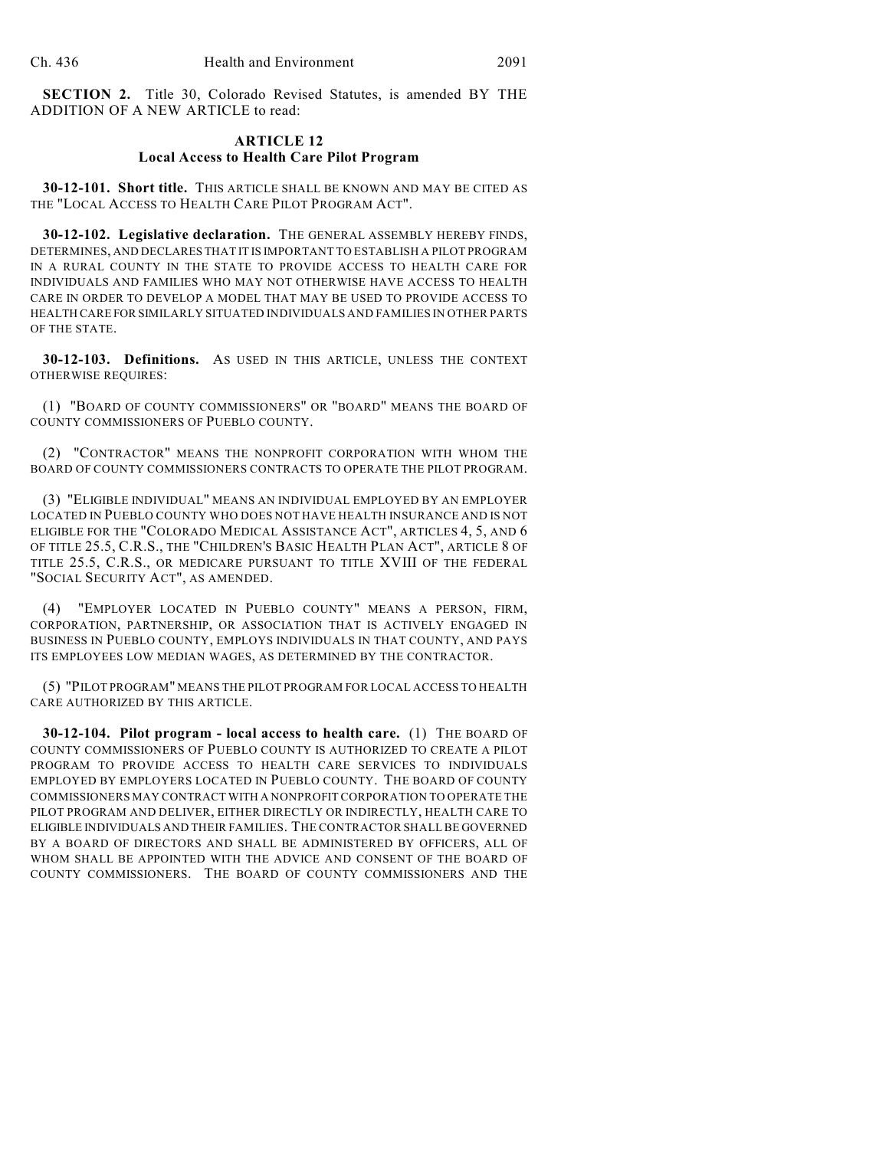**SECTION 2.** Title 30, Colorado Revised Statutes, is amended BY THE ADDITION OF A NEW ARTICLE to read:

## **ARTICLE 12 Local Access to Health Care Pilot Program**

**30-12-101. Short title.** THIS ARTICLE SHALL BE KNOWN AND MAY BE CITED AS THE "LOCAL ACCESS TO HEALTH CARE PILOT PROGRAM ACT".

**30-12-102. Legislative declaration.** THE GENERAL ASSEMBLY HEREBY FINDS, DETERMINES, AND DECLARES THAT IT IS IMPORTANT TO ESTABLISH A PILOT PROGRAM IN A RURAL COUNTY IN THE STATE TO PROVIDE ACCESS TO HEALTH CARE FOR INDIVIDUALS AND FAMILIES WHO MAY NOT OTHERWISE HAVE ACCESS TO HEALTH CARE IN ORDER TO DEVELOP A MODEL THAT MAY BE USED TO PROVIDE ACCESS TO HEALTH CARE FOR SIMILARLY SITUATED INDIVIDUALS AND FAMILIES IN OTHER PARTS OF THE STATE.

**30-12-103. Definitions.** AS USED IN THIS ARTICLE, UNLESS THE CONTEXT OTHERWISE REQUIRES:

(1) "BOARD OF COUNTY COMMISSIONERS" OR "BOARD" MEANS THE BOARD OF COUNTY COMMISSIONERS OF PUEBLO COUNTY.

(2) "CONTRACTOR" MEANS THE NONPROFIT CORPORATION WITH WHOM THE BOARD OF COUNTY COMMISSIONERS CONTRACTS TO OPERATE THE PILOT PROGRAM.

(3) "ELIGIBLE INDIVIDUAL" MEANS AN INDIVIDUAL EMPLOYED BY AN EMPLOYER LOCATED IN PUEBLO COUNTY WHO DOES NOT HAVE HEALTH INSURANCE AND IS NOT ELIGIBLE FOR THE "COLORADO MEDICAL ASSISTANCE ACT", ARTICLES 4, 5, AND 6 OF TITLE 25.5, C.R.S., THE "CHILDREN'S BASIC HEALTH PLAN ACT", ARTICLE 8 OF TITLE 25.5, C.R.S., OR MEDICARE PURSUANT TO TITLE XVIII OF THE FEDERAL "SOCIAL SECURITY ACT", AS AMENDED.

(4) "EMPLOYER LOCATED IN PUEBLO COUNTY" MEANS A PERSON, FIRM, CORPORATION, PARTNERSHIP, OR ASSOCIATION THAT IS ACTIVELY ENGAGED IN BUSINESS IN PUEBLO COUNTY, EMPLOYS INDIVIDUALS IN THAT COUNTY, AND PAYS ITS EMPLOYEES LOW MEDIAN WAGES, AS DETERMINED BY THE CONTRACTOR.

(5) "PILOT PROGRAM" MEANS THE PILOT PROGRAM FOR LOCAL ACCESS TO HEALTH CARE AUTHORIZED BY THIS ARTICLE.

**30-12-104. Pilot program - local access to health care.** (1) THE BOARD OF COUNTY COMMISSIONERS OF PUEBLO COUNTY IS AUTHORIZED TO CREATE A PILOT PROGRAM TO PROVIDE ACCESS TO HEALTH CARE SERVICES TO INDIVIDUALS EMPLOYED BY EMPLOYERS LOCATED IN PUEBLO COUNTY. THE BOARD OF COUNTY COMMISSIONERS MAY CONTRACT WITH A NONPROFIT CORPORATION TO OPERATE THE PILOT PROGRAM AND DELIVER, EITHER DIRECTLY OR INDIRECTLY, HEALTH CARE TO ELIGIBLE INDIVIDUALS AND THEIR FAMILIES. THE CONTRACTOR SHALL BE GOVERNED BY A BOARD OF DIRECTORS AND SHALL BE ADMINISTERED BY OFFICERS, ALL OF WHOM SHALL BE APPOINTED WITH THE ADVICE AND CONSENT OF THE BOARD OF COUNTY COMMISSIONERS. THE BOARD OF COUNTY COMMISSIONERS AND THE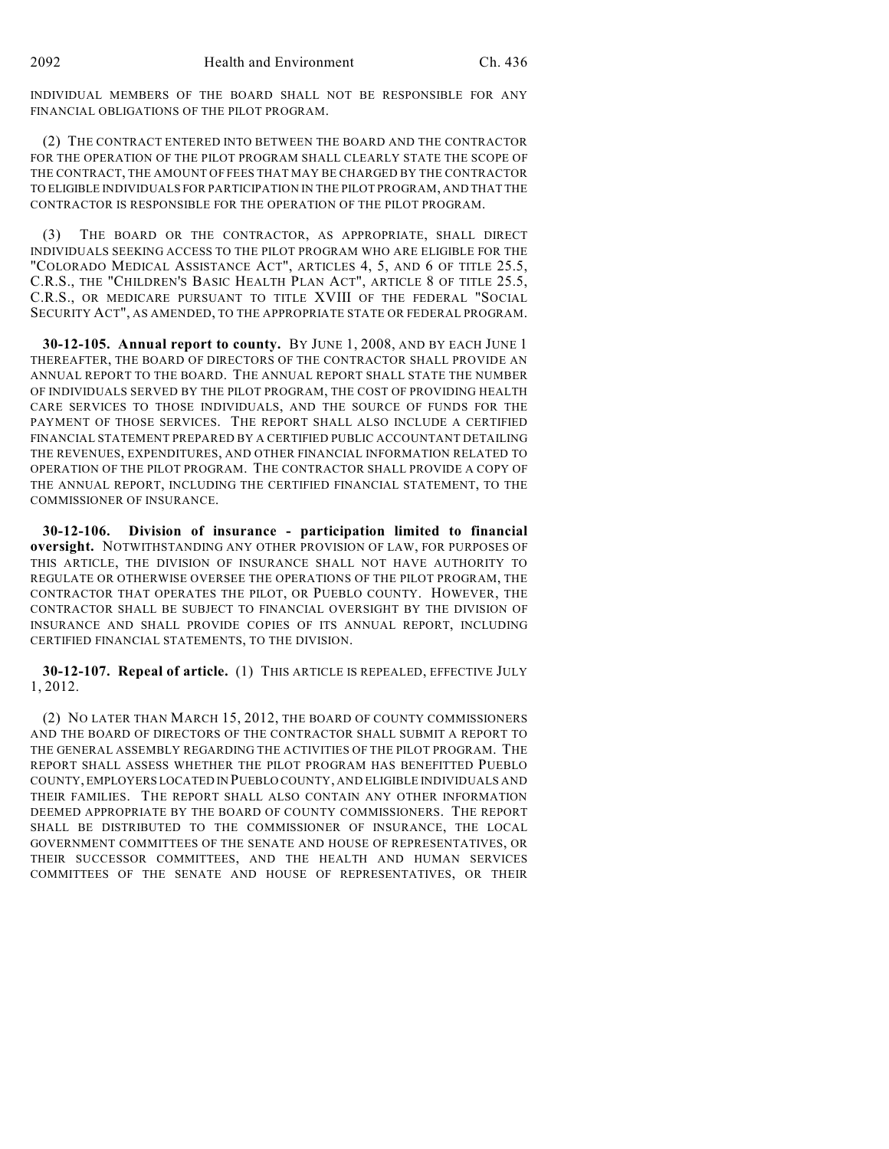INDIVIDUAL MEMBERS OF THE BOARD SHALL NOT BE RESPONSIBLE FOR ANY FINANCIAL OBLIGATIONS OF THE PILOT PROGRAM.

(2) THE CONTRACT ENTERED INTO BETWEEN THE BOARD AND THE CONTRACTOR FOR THE OPERATION OF THE PILOT PROGRAM SHALL CLEARLY STATE THE SCOPE OF THE CONTRACT, THE AMOUNT OF FEES THAT MAY BE CHARGED BY THE CONTRACTOR TO ELIGIBLE INDIVIDUALS FOR PARTICIPATION IN THE PILOT PROGRAM, AND THAT THE CONTRACTOR IS RESPONSIBLE FOR THE OPERATION OF THE PILOT PROGRAM.

(3) THE BOARD OR THE CONTRACTOR, AS APPROPRIATE, SHALL DIRECT INDIVIDUALS SEEKING ACCESS TO THE PILOT PROGRAM WHO ARE ELIGIBLE FOR THE "COLORADO MEDICAL ASSISTANCE ACT", ARTICLES 4, 5, AND 6 OF TITLE 25.5, C.R.S., THE "CHILDREN'S BASIC HEALTH PLAN ACT", ARTICLE 8 OF TITLE 25.5, C.R.S., OR MEDICARE PURSUANT TO TITLE XVIII OF THE FEDERAL "SOCIAL SECURITY ACT", AS AMENDED, TO THE APPROPRIATE STATE OR FEDERAL PROGRAM.

**30-12-105. Annual report to county.** BY JUNE 1, 2008, AND BY EACH JUNE 1 THEREAFTER, THE BOARD OF DIRECTORS OF THE CONTRACTOR SHALL PROVIDE AN ANNUAL REPORT TO THE BOARD. THE ANNUAL REPORT SHALL STATE THE NUMBER OF INDIVIDUALS SERVED BY THE PILOT PROGRAM, THE COST OF PROVIDING HEALTH CARE SERVICES TO THOSE INDIVIDUALS, AND THE SOURCE OF FUNDS FOR THE PAYMENT OF THOSE SERVICES. THE REPORT SHALL ALSO INCLUDE A CERTIFIED FINANCIAL STATEMENT PREPARED BY A CERTIFIED PUBLIC ACCOUNTANT DETAILING THE REVENUES, EXPENDITURES, AND OTHER FINANCIAL INFORMATION RELATED TO OPERATION OF THE PILOT PROGRAM. THE CONTRACTOR SHALL PROVIDE A COPY OF THE ANNUAL REPORT, INCLUDING THE CERTIFIED FINANCIAL STATEMENT, TO THE COMMISSIONER OF INSURANCE.

**30-12-106. Division of insurance - participation limited to financial oversight.** NOTWITHSTANDING ANY OTHER PROVISION OF LAW, FOR PURPOSES OF THIS ARTICLE, THE DIVISION OF INSURANCE SHALL NOT HAVE AUTHORITY TO REGULATE OR OTHERWISE OVERSEE THE OPERATIONS OF THE PILOT PROGRAM, THE CONTRACTOR THAT OPERATES THE PILOT, OR PUEBLO COUNTY. HOWEVER, THE CONTRACTOR SHALL BE SUBJECT TO FINANCIAL OVERSIGHT BY THE DIVISION OF INSURANCE AND SHALL PROVIDE COPIES OF ITS ANNUAL REPORT, INCLUDING CERTIFIED FINANCIAL STATEMENTS, TO THE DIVISION.

**30-12-107. Repeal of article.** (1) THIS ARTICLE IS REPEALED, EFFECTIVE JULY 1, 2012.

(2) NO LATER THAN MARCH 15, 2012, THE BOARD OF COUNTY COMMISSIONERS AND THE BOARD OF DIRECTORS OF THE CONTRACTOR SHALL SUBMIT A REPORT TO THE GENERAL ASSEMBLY REGARDING THE ACTIVITIES OF THE PILOT PROGRAM. THE REPORT SHALL ASSESS WHETHER THE PILOT PROGRAM HAS BENEFITTED PUEBLO COUNTY, EMPLOYERS LOCATED IN PUEBLO COUNTY, AND ELIGIBLE INDIVIDUALS AND THEIR FAMILIES. THE REPORT SHALL ALSO CONTAIN ANY OTHER INFORMATION DEEMED APPROPRIATE BY THE BOARD OF COUNTY COMMISSIONERS. THE REPORT SHALL BE DISTRIBUTED TO THE COMMISSIONER OF INSURANCE, THE LOCAL GOVERNMENT COMMITTEES OF THE SENATE AND HOUSE OF REPRESENTATIVES, OR THEIR SUCCESSOR COMMITTEES, AND THE HEALTH AND HUMAN SERVICES COMMITTEES OF THE SENATE AND HOUSE OF REPRESENTATIVES, OR THEIR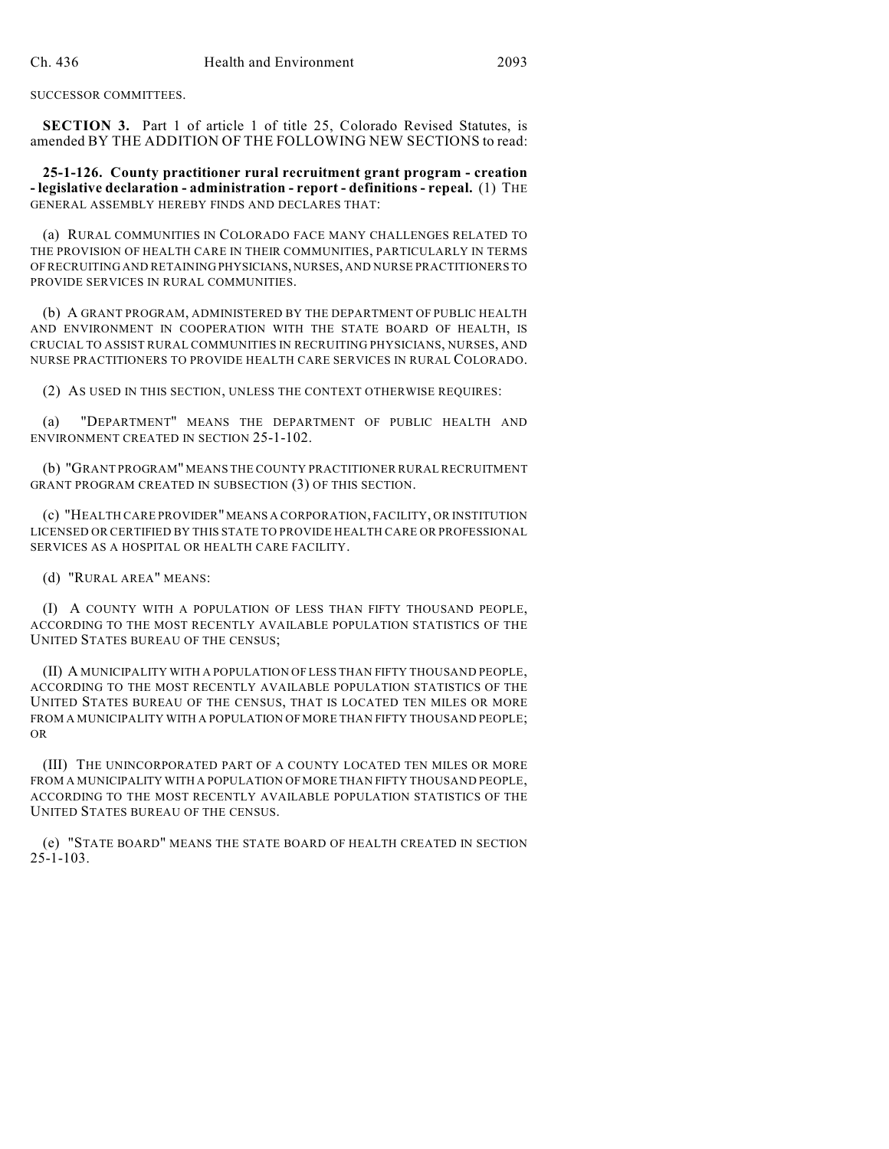SUCCESSOR COMMITTEES.

**SECTION 3.** Part 1 of article 1 of title 25, Colorado Revised Statutes, is amended BY THE ADDITION OF THE FOLLOWING NEW SECTIONS to read:

**25-1-126. County practitioner rural recruitment grant program - creation - legislative declaration - administration - report - definitions - repeal.** (1) THE GENERAL ASSEMBLY HEREBY FINDS AND DECLARES THAT:

(a) RURAL COMMUNITIES IN COLORADO FACE MANY CHALLENGES RELATED TO THE PROVISION OF HEALTH CARE IN THEIR COMMUNITIES, PARTICULARLY IN TERMS OF RECRUITING AND RETAINING PHYSICIANS, NURSES, AND NURSE PRACTITIONERS TO PROVIDE SERVICES IN RURAL COMMUNITIES.

(b) A GRANT PROGRAM, ADMINISTERED BY THE DEPARTMENT OF PUBLIC HEALTH AND ENVIRONMENT IN COOPERATION WITH THE STATE BOARD OF HEALTH, IS CRUCIAL TO ASSIST RURAL COMMUNITIES IN RECRUITING PHYSICIANS, NURSES, AND NURSE PRACTITIONERS TO PROVIDE HEALTH CARE SERVICES IN RURAL COLORADO.

(2) AS USED IN THIS SECTION, UNLESS THE CONTEXT OTHERWISE REQUIRES:

(a) "DEPARTMENT" MEANS THE DEPARTMENT OF PUBLIC HEALTH AND ENVIRONMENT CREATED IN SECTION 25-1-102.

(b) "GRANT PROGRAM" MEANS THE COUNTY PRACTITIONER RURAL RECRUITMENT GRANT PROGRAM CREATED IN SUBSECTION (3) OF THIS SECTION.

(c) "HEALTH CARE PROVIDER" MEANS A CORPORATION, FACILITY, OR INSTITUTION LICENSED OR CERTIFIED BY THIS STATE TO PROVIDE HEALTH CARE OR PROFESSIONAL SERVICES AS A HOSPITAL OR HEALTH CARE FACILITY.

(d) "RURAL AREA" MEANS:

(I) A COUNTY WITH A POPULATION OF LESS THAN FIFTY THOUSAND PEOPLE, ACCORDING TO THE MOST RECENTLY AVAILABLE POPULATION STATISTICS OF THE UNITED STATES BUREAU OF THE CENSUS;

(II) A MUNICIPALITY WITH A POPULATION OF LESS THAN FIFTY THOUSAND PEOPLE, ACCORDING TO THE MOST RECENTLY AVAILABLE POPULATION STATISTICS OF THE UNITED STATES BUREAU OF THE CENSUS, THAT IS LOCATED TEN MILES OR MORE FROM A MUNICIPALITY WITH A POPULATION OF MORE THAN FIFTY THOUSAND PEOPLE; OR

(III) THE UNINCORPORATED PART OF A COUNTY LOCATED TEN MILES OR MORE FROM A MUNICIPALITY WITH A POPULATION OF MORE THAN FIFTY THOUSAND PEOPLE, ACCORDING TO THE MOST RECENTLY AVAILABLE POPULATION STATISTICS OF THE UNITED STATES BUREAU OF THE CENSUS.

(e) "STATE BOARD" MEANS THE STATE BOARD OF HEALTH CREATED IN SECTION 25-1-103.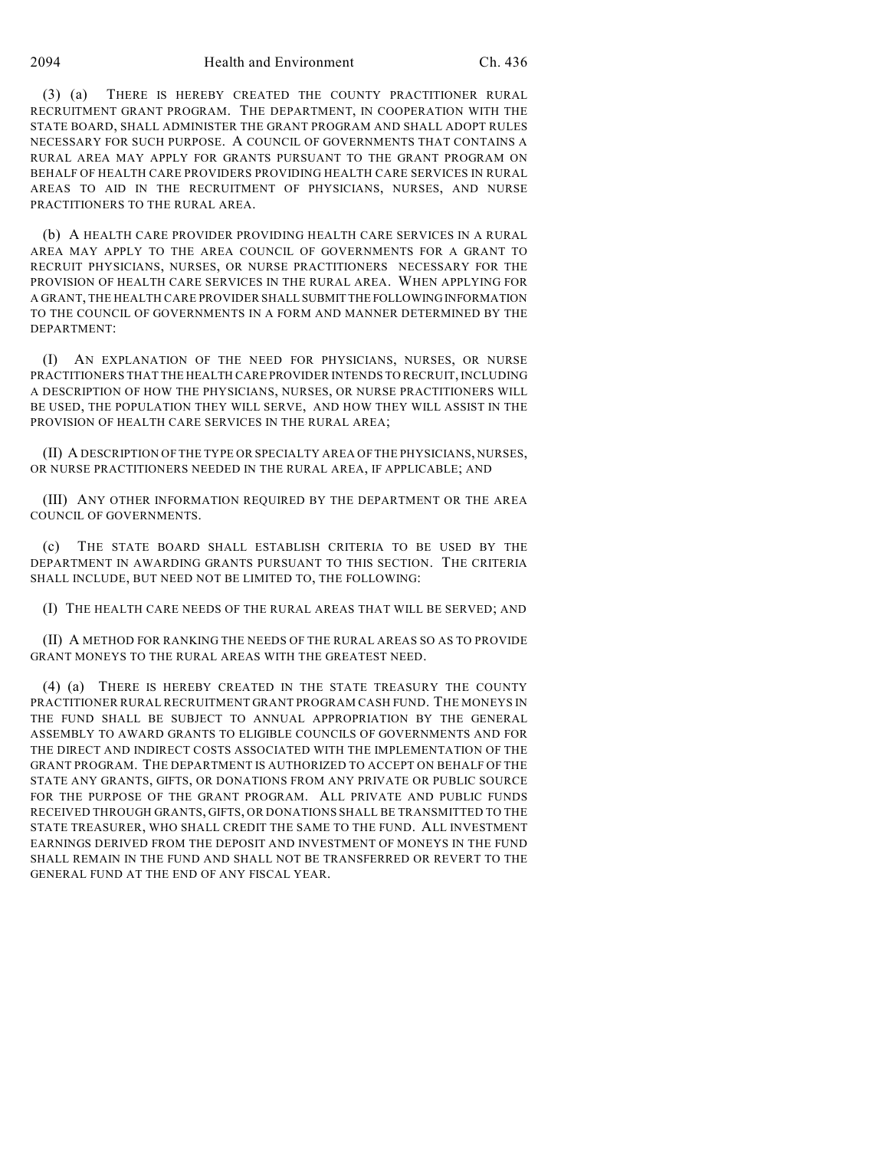(3) (a) THERE IS HEREBY CREATED THE COUNTY PRACTITIONER RURAL RECRUITMENT GRANT PROGRAM. THE DEPARTMENT, IN COOPERATION WITH THE STATE BOARD, SHALL ADMINISTER THE GRANT PROGRAM AND SHALL ADOPT RULES NECESSARY FOR SUCH PURPOSE. A COUNCIL OF GOVERNMENTS THAT CONTAINS A RURAL AREA MAY APPLY FOR GRANTS PURSUANT TO THE GRANT PROGRAM ON BEHALF OF HEALTH CARE PROVIDERS PROVIDING HEALTH CARE SERVICES IN RURAL AREAS TO AID IN THE RECRUITMENT OF PHYSICIANS, NURSES, AND NURSE PRACTITIONERS TO THE RURAL AREA.

(b) A HEALTH CARE PROVIDER PROVIDING HEALTH CARE SERVICES IN A RURAL AREA MAY APPLY TO THE AREA COUNCIL OF GOVERNMENTS FOR A GRANT TO RECRUIT PHYSICIANS, NURSES, OR NURSE PRACTITIONERS NECESSARY FOR THE PROVISION OF HEALTH CARE SERVICES IN THE RURAL AREA. WHEN APPLYING FOR A GRANT, THE HEALTH CARE PROVIDER SHALL SUBMIT THE FOLLOWING INFORMATION TO THE COUNCIL OF GOVERNMENTS IN A FORM AND MANNER DETERMINED BY THE DEPARTMENT:

(I) AN EXPLANATION OF THE NEED FOR PHYSICIANS, NURSES, OR NURSE PRACTITIONERS THAT THE HEALTH CARE PROVIDER INTENDS TO RECRUIT, INCLUDING A DESCRIPTION OF HOW THE PHYSICIANS, NURSES, OR NURSE PRACTITIONERS WILL BE USED, THE POPULATION THEY WILL SERVE, AND HOW THEY WILL ASSIST IN THE PROVISION OF HEALTH CARE SERVICES IN THE RURAL AREA;

(II) A DESCRIPTION OF THE TYPE OR SPECIALTY AREA OF THE PHYSICIANS, NURSES, OR NURSE PRACTITIONERS NEEDED IN THE RURAL AREA, IF APPLICABLE; AND

(III) ANY OTHER INFORMATION REQUIRED BY THE DEPARTMENT OR THE AREA COUNCIL OF GOVERNMENTS.

(c) THE STATE BOARD SHALL ESTABLISH CRITERIA TO BE USED BY THE DEPARTMENT IN AWARDING GRANTS PURSUANT TO THIS SECTION. THE CRITERIA SHALL INCLUDE, BUT NEED NOT BE LIMITED TO, THE FOLLOWING:

(I) THE HEALTH CARE NEEDS OF THE RURAL AREAS THAT WILL BE SERVED; AND

(II) A METHOD FOR RANKING THE NEEDS OF THE RURAL AREAS SO AS TO PROVIDE GRANT MONEYS TO THE RURAL AREAS WITH THE GREATEST NEED.

(4) (a) THERE IS HEREBY CREATED IN THE STATE TREASURY THE COUNTY PRACTITIONER RURAL RECRUITMENT GRANT PROGRAM CASH FUND. THE MONEYS IN THE FUND SHALL BE SUBJECT TO ANNUAL APPROPRIATION BY THE GENERAL ASSEMBLY TO AWARD GRANTS TO ELIGIBLE COUNCILS OF GOVERNMENTS AND FOR THE DIRECT AND INDIRECT COSTS ASSOCIATED WITH THE IMPLEMENTATION OF THE GRANT PROGRAM. THE DEPARTMENT IS AUTHORIZED TO ACCEPT ON BEHALF OF THE STATE ANY GRANTS, GIFTS, OR DONATIONS FROM ANY PRIVATE OR PUBLIC SOURCE FOR THE PURPOSE OF THE GRANT PROGRAM. ALL PRIVATE AND PUBLIC FUNDS RECEIVED THROUGH GRANTS, GIFTS, OR DONATIONS SHALL BE TRANSMITTED TO THE STATE TREASURER, WHO SHALL CREDIT THE SAME TO THE FUND. ALL INVESTMENT EARNINGS DERIVED FROM THE DEPOSIT AND INVESTMENT OF MONEYS IN THE FUND SHALL REMAIN IN THE FUND AND SHALL NOT BE TRANSFERRED OR REVERT TO THE GENERAL FUND AT THE END OF ANY FISCAL YEAR.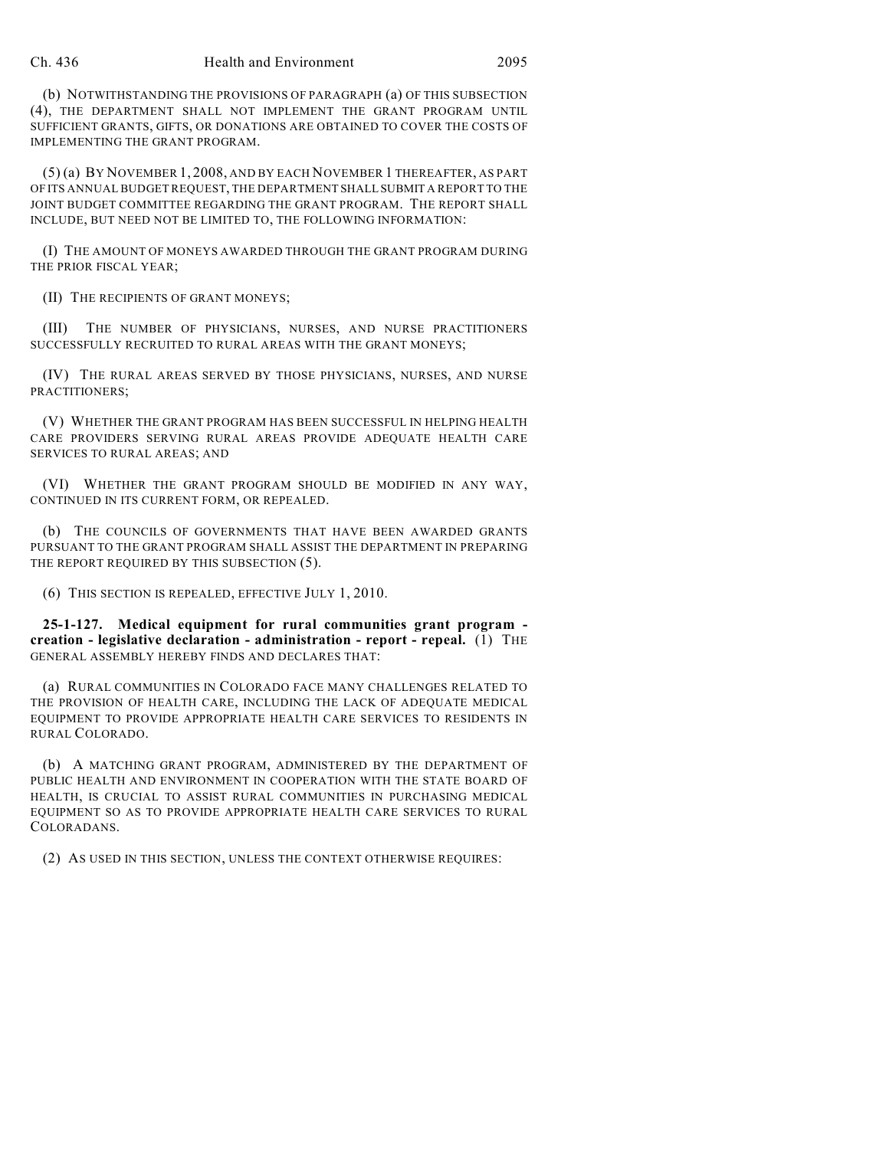(b) NOTWITHSTANDING THE PROVISIONS OF PARAGRAPH (a) OF THIS SUBSECTION (4), THE DEPARTMENT SHALL NOT IMPLEMENT THE GRANT PROGRAM UNTIL SUFFICIENT GRANTS, GIFTS, OR DONATIONS ARE OBTAINED TO COVER THE COSTS OF IMPLEMENTING THE GRANT PROGRAM.

(5) (a) BY NOVEMBER 1, 2008, AND BY EACH NOVEMBER 1 THEREAFTER, AS PART OF ITS ANNUAL BUDGET REQUEST, THE DEPARTMENT SHALL SUBMIT A REPORT TO THE JOINT BUDGET COMMITTEE REGARDING THE GRANT PROGRAM. THE REPORT SHALL INCLUDE, BUT NEED NOT BE LIMITED TO, THE FOLLOWING INFORMATION:

(I) THE AMOUNT OF MONEYS AWARDED THROUGH THE GRANT PROGRAM DURING THE PRIOR FISCAL YEAR;

(II) THE RECIPIENTS OF GRANT MONEYS;

(III) THE NUMBER OF PHYSICIANS, NURSES, AND NURSE PRACTITIONERS SUCCESSFULLY RECRUITED TO RURAL AREAS WITH THE GRANT MONEYS;

(IV) THE RURAL AREAS SERVED BY THOSE PHYSICIANS, NURSES, AND NURSE PRACTITIONERS;

(V) WHETHER THE GRANT PROGRAM HAS BEEN SUCCESSFUL IN HELPING HEALTH CARE PROVIDERS SERVING RURAL AREAS PROVIDE ADEQUATE HEALTH CARE SERVICES TO RURAL AREAS; AND

(VI) WHETHER THE GRANT PROGRAM SHOULD BE MODIFIED IN ANY WAY, CONTINUED IN ITS CURRENT FORM, OR REPEALED.

(b) THE COUNCILS OF GOVERNMENTS THAT HAVE BEEN AWARDED GRANTS PURSUANT TO THE GRANT PROGRAM SHALL ASSIST THE DEPARTMENT IN PREPARING THE REPORT REQUIRED BY THIS SUBSECTION  $(5)$ .

(6) THIS SECTION IS REPEALED, EFFECTIVE JULY 1, 2010.

**25-1-127. Medical equipment for rural communities grant program creation - legislative declaration - administration - report - repeal.** (1) THE GENERAL ASSEMBLY HEREBY FINDS AND DECLARES THAT:

(a) RURAL COMMUNITIES IN COLORADO FACE MANY CHALLENGES RELATED TO THE PROVISION OF HEALTH CARE, INCLUDING THE LACK OF ADEQUATE MEDICAL EQUIPMENT TO PROVIDE APPROPRIATE HEALTH CARE SERVICES TO RESIDENTS IN RURAL COLORADO.

(b) A MATCHING GRANT PROGRAM, ADMINISTERED BY THE DEPARTMENT OF PUBLIC HEALTH AND ENVIRONMENT IN COOPERATION WITH THE STATE BOARD OF HEALTH, IS CRUCIAL TO ASSIST RURAL COMMUNITIES IN PURCHASING MEDICAL EQUIPMENT SO AS TO PROVIDE APPROPRIATE HEALTH CARE SERVICES TO RURAL COLORADANS.

(2) AS USED IN THIS SECTION, UNLESS THE CONTEXT OTHERWISE REQUIRES: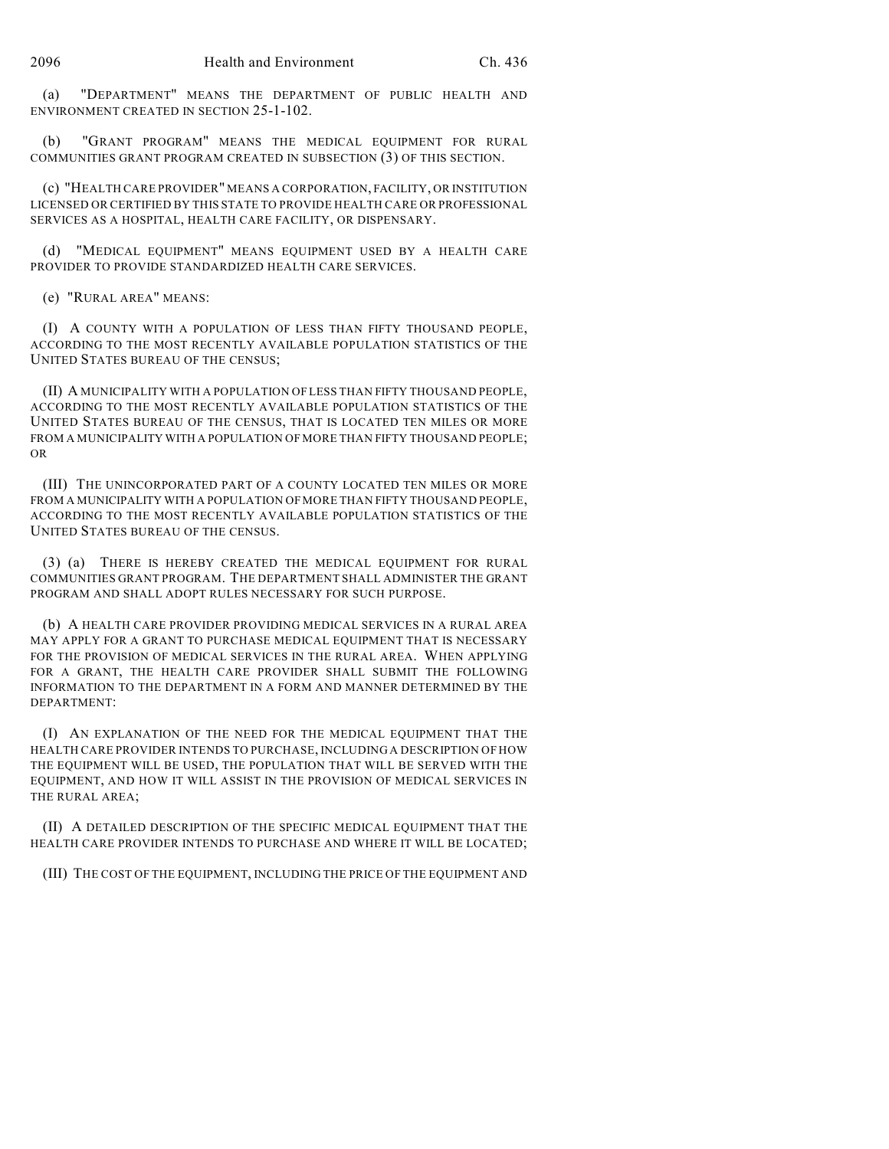(a) "DEPARTMENT" MEANS THE DEPARTMENT OF PUBLIC HEALTH AND ENVIRONMENT CREATED IN SECTION 25-1-102.

(b) "GRANT PROGRAM" MEANS THE MEDICAL EQUIPMENT FOR RURAL COMMUNITIES GRANT PROGRAM CREATED IN SUBSECTION (3) OF THIS SECTION.

(c) "HEALTH CARE PROVIDER" MEANS A CORPORATION, FACILITY, OR INSTITUTION LICENSED OR CERTIFIED BY THIS STATE TO PROVIDE HEALTH CARE OR PROFESSIONAL SERVICES AS A HOSPITAL, HEALTH CARE FACILITY, OR DISPENSARY.

(d) "MEDICAL EQUIPMENT" MEANS EQUIPMENT USED BY A HEALTH CARE PROVIDER TO PROVIDE STANDARDIZED HEALTH CARE SERVICES.

(e) "RURAL AREA" MEANS:

(I) A COUNTY WITH A POPULATION OF LESS THAN FIFTY THOUSAND PEOPLE, ACCORDING TO THE MOST RECENTLY AVAILABLE POPULATION STATISTICS OF THE UNITED STATES BUREAU OF THE CENSUS;

(II) A MUNICIPALITY WITH A POPULATION OF LESS THAN FIFTY THOUSAND PEOPLE, ACCORDING TO THE MOST RECENTLY AVAILABLE POPULATION STATISTICS OF THE UNITED STATES BUREAU OF THE CENSUS, THAT IS LOCATED TEN MILES OR MORE FROM A MUNICIPALITY WITH A POPULATION OF MORE THAN FIFTY THOUSAND PEOPLE; OR

(III) THE UNINCORPORATED PART OF A COUNTY LOCATED TEN MILES OR MORE FROM A MUNICIPALITY WITH A POPULATION OF MORE THAN FIFTY THOUSAND PEOPLE, ACCORDING TO THE MOST RECENTLY AVAILABLE POPULATION STATISTICS OF THE UNITED STATES BUREAU OF THE CENSUS.

(3) (a) THERE IS HEREBY CREATED THE MEDICAL EQUIPMENT FOR RURAL COMMUNITIES GRANT PROGRAM. THE DEPARTMENT SHALL ADMINISTER THE GRANT PROGRAM AND SHALL ADOPT RULES NECESSARY FOR SUCH PURPOSE.

(b) A HEALTH CARE PROVIDER PROVIDING MEDICAL SERVICES IN A RURAL AREA MAY APPLY FOR A GRANT TO PURCHASE MEDICAL EQUIPMENT THAT IS NECESSARY FOR THE PROVISION OF MEDICAL SERVICES IN THE RURAL AREA. WHEN APPLYING FOR A GRANT, THE HEALTH CARE PROVIDER SHALL SUBMIT THE FOLLOWING INFORMATION TO THE DEPARTMENT IN A FORM AND MANNER DETERMINED BY THE DEPARTMENT:

(I) AN EXPLANATION OF THE NEED FOR THE MEDICAL EQUIPMENT THAT THE HEALTH CARE PROVIDER INTENDS TO PURCHASE, INCLUDING A DESCRIPTION OF HOW THE EQUIPMENT WILL BE USED, THE POPULATION THAT WILL BE SERVED WITH THE EQUIPMENT, AND HOW IT WILL ASSIST IN THE PROVISION OF MEDICAL SERVICES IN THE RURAL AREA;

(II) A DETAILED DESCRIPTION OF THE SPECIFIC MEDICAL EQUIPMENT THAT THE HEALTH CARE PROVIDER INTENDS TO PURCHASE AND WHERE IT WILL BE LOCATED;

(III) THE COST OF THE EQUIPMENT, INCLUDING THE PRICE OF THE EQUIPMENT AND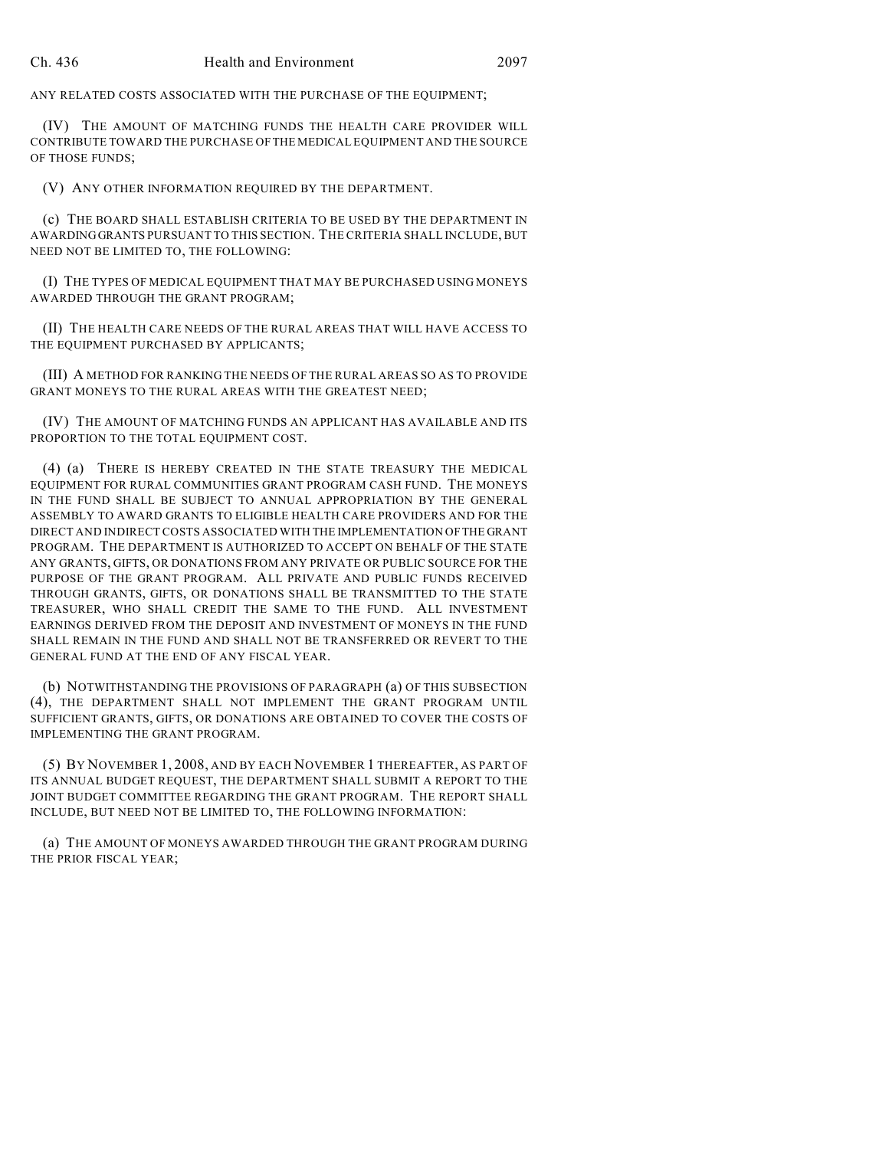ANY RELATED COSTS ASSOCIATED WITH THE PURCHASE OF THE EQUIPMENT;

(IV) THE AMOUNT OF MATCHING FUNDS THE HEALTH CARE PROVIDER WILL CONTRIBUTE TOWARD THE PURCHASE OF THE MEDICAL EQUIPMENT AND THE SOURCE OF THOSE FUNDS;

(V) ANY OTHER INFORMATION REQUIRED BY THE DEPARTMENT.

(c) THE BOARD SHALL ESTABLISH CRITERIA TO BE USED BY THE DEPARTMENT IN AWARDING GRANTS PURSUANT TO THIS SECTION. THE CRITERIA SHALL INCLUDE, BUT NEED NOT BE LIMITED TO, THE FOLLOWING:

(I) THE TYPES OF MEDICAL EQUIPMENT THAT MAY BE PURCHASED USING MONEYS AWARDED THROUGH THE GRANT PROGRAM;

(II) THE HEALTH CARE NEEDS OF THE RURAL AREAS THAT WILL HAVE ACCESS TO THE EQUIPMENT PURCHASED BY APPLICANTS;

(III) A METHOD FOR RANKING THE NEEDS OF THE RURAL AREAS SO AS TO PROVIDE GRANT MONEYS TO THE RURAL AREAS WITH THE GREATEST NEED;

(IV) THE AMOUNT OF MATCHING FUNDS AN APPLICANT HAS AVAILABLE AND ITS PROPORTION TO THE TOTAL EQUIPMENT COST.

(4) (a) THERE IS HEREBY CREATED IN THE STATE TREASURY THE MEDICAL EQUIPMENT FOR RURAL COMMUNITIES GRANT PROGRAM CASH FUND. THE MONEYS IN THE FUND SHALL BE SUBJECT TO ANNUAL APPROPRIATION BY THE GENERAL ASSEMBLY TO AWARD GRANTS TO ELIGIBLE HEALTH CARE PROVIDERS AND FOR THE DIRECT AND INDIRECT COSTS ASSOCIATED WITH THE IMPLEMENTATION OF THE GRANT PROGRAM. THE DEPARTMENT IS AUTHORIZED TO ACCEPT ON BEHALF OF THE STATE ANY GRANTS, GIFTS, OR DONATIONS FROM ANY PRIVATE OR PUBLIC SOURCE FOR THE PURPOSE OF THE GRANT PROGRAM. ALL PRIVATE AND PUBLIC FUNDS RECEIVED THROUGH GRANTS, GIFTS, OR DONATIONS SHALL BE TRANSMITTED TO THE STATE TREASURER, WHO SHALL CREDIT THE SAME TO THE FUND. ALL INVESTMENT EARNINGS DERIVED FROM THE DEPOSIT AND INVESTMENT OF MONEYS IN THE FUND SHALL REMAIN IN THE FUND AND SHALL NOT BE TRANSFERRED OR REVERT TO THE GENERAL FUND AT THE END OF ANY FISCAL YEAR.

(b) NOTWITHSTANDING THE PROVISIONS OF PARAGRAPH (a) OF THIS SUBSECTION (4), THE DEPARTMENT SHALL NOT IMPLEMENT THE GRANT PROGRAM UNTIL SUFFICIENT GRANTS, GIFTS, OR DONATIONS ARE OBTAINED TO COVER THE COSTS OF IMPLEMENTING THE GRANT PROGRAM.

(5) BY NOVEMBER 1, 2008, AND BY EACH NOVEMBER 1 THEREAFTER, AS PART OF ITS ANNUAL BUDGET REQUEST, THE DEPARTMENT SHALL SUBMIT A REPORT TO THE JOINT BUDGET COMMITTEE REGARDING THE GRANT PROGRAM. THE REPORT SHALL INCLUDE, BUT NEED NOT BE LIMITED TO, THE FOLLOWING INFORMATION:

(a) THE AMOUNT OF MONEYS AWARDED THROUGH THE GRANT PROGRAM DURING THE PRIOR FISCAL YEAR;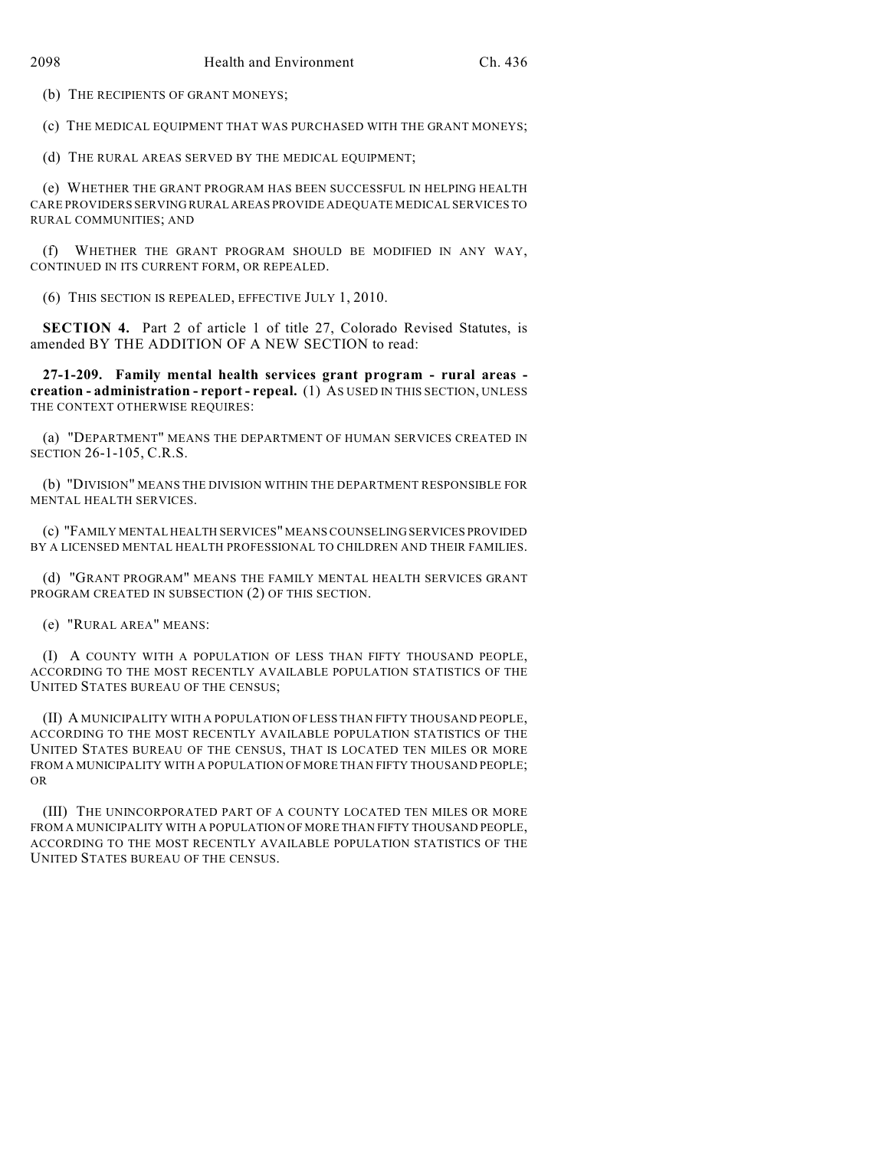(b) THE RECIPIENTS OF GRANT MONEYS;

(c) THE MEDICAL EQUIPMENT THAT WAS PURCHASED WITH THE GRANT MONEYS;

(d) THE RURAL AREAS SERVED BY THE MEDICAL EQUIPMENT;

(e) WHETHER THE GRANT PROGRAM HAS BEEN SUCCESSFUL IN HELPING HEALTH CARE PROVIDERS SERVING RURAL AREAS PROVIDE ADEQUATE MEDICAL SERVICES TO RURAL COMMUNITIES; AND

(f) WHETHER THE GRANT PROGRAM SHOULD BE MODIFIED IN ANY WAY, CONTINUED IN ITS CURRENT FORM, OR REPEALED.

(6) THIS SECTION IS REPEALED, EFFECTIVE JULY 1, 2010.

**SECTION 4.** Part 2 of article 1 of title 27, Colorado Revised Statutes, is amended BY THE ADDITION OF A NEW SECTION to read:

**27-1-209. Family mental health services grant program - rural areas creation - administration - report - repeal.** (1) AS USED IN THIS SECTION, UNLESS THE CONTEXT OTHERWISE REQUIRES:

(a) "DEPARTMENT" MEANS THE DEPARTMENT OF HUMAN SERVICES CREATED IN SECTION 26-1-105, C.R.S.

(b) "DIVISION" MEANS THE DIVISION WITHIN THE DEPARTMENT RESPONSIBLE FOR MENTAL HEALTH SERVICES.

(c) "FAMILY MENTAL HEALTH SERVICES" MEANS COUNSELING SERVICES PROVIDED BY A LICENSED MENTAL HEALTH PROFESSIONAL TO CHILDREN AND THEIR FAMILIES.

(d) "GRANT PROGRAM" MEANS THE FAMILY MENTAL HEALTH SERVICES GRANT PROGRAM CREATED IN SUBSECTION (2) OF THIS SECTION.

(e) "RURAL AREA" MEANS:

(I) A COUNTY WITH A POPULATION OF LESS THAN FIFTY THOUSAND PEOPLE, ACCORDING TO THE MOST RECENTLY AVAILABLE POPULATION STATISTICS OF THE UNITED STATES BUREAU OF THE CENSUS;

(II) A MUNICIPALITY WITH A POPULATION OF LESS THAN FIFTY THOUSAND PEOPLE, ACCORDING TO THE MOST RECENTLY AVAILABLE POPULATION STATISTICS OF THE UNITED STATES BUREAU OF THE CENSUS, THAT IS LOCATED TEN MILES OR MORE FROM A MUNICIPALITY WITH A POPULATION OF MORE THAN FIFTY THOUSAND PEOPLE; OR

(III) THE UNINCORPORATED PART OF A COUNTY LOCATED TEN MILES OR MORE FROM A MUNICIPALITY WITH A POPULATION OF MORE THAN FIFTY THOUSAND PEOPLE, ACCORDING TO THE MOST RECENTLY AVAILABLE POPULATION STATISTICS OF THE UNITED STATES BUREAU OF THE CENSUS.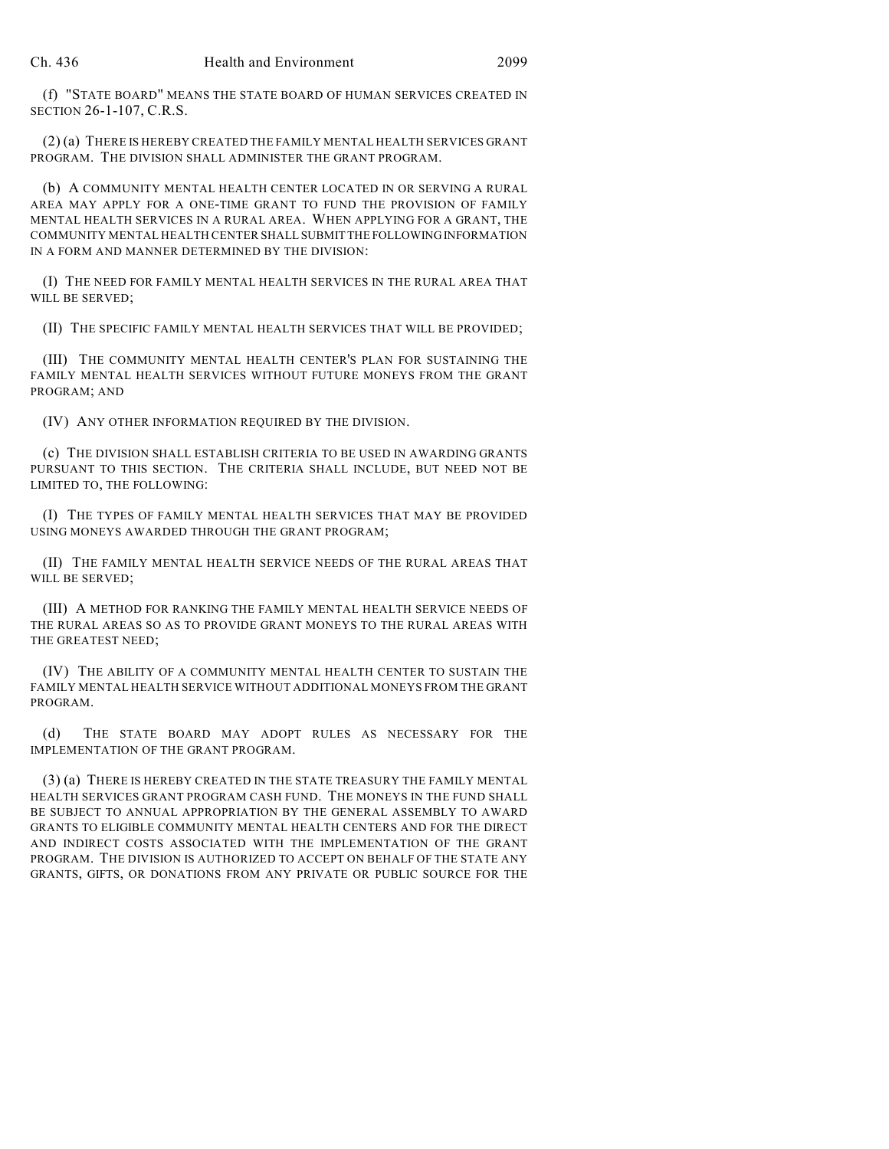(f) "STATE BOARD" MEANS THE STATE BOARD OF HUMAN SERVICES CREATED IN SECTION 26-1-107, C.R.S.

(2) (a) THERE IS HEREBY CREATED THE FAMILY MENTAL HEALTH SERVICES GRANT PROGRAM. THE DIVISION SHALL ADMINISTER THE GRANT PROGRAM.

(b) A COMMUNITY MENTAL HEALTH CENTER LOCATED IN OR SERVING A RURAL AREA MAY APPLY FOR A ONE-TIME GRANT TO FUND THE PROVISION OF FAMILY MENTAL HEALTH SERVICES IN A RURAL AREA. WHEN APPLYING FOR A GRANT, THE COMMUNITY MENTAL HEALTH CENTER SHALL SUBMIT THE FOLLOWING INFORMATION IN A FORM AND MANNER DETERMINED BY THE DIVISION:

(I) THE NEED FOR FAMILY MENTAL HEALTH SERVICES IN THE RURAL AREA THAT WILL BE SERVED;

(II) THE SPECIFIC FAMILY MENTAL HEALTH SERVICES THAT WILL BE PROVIDED;

(III) THE COMMUNITY MENTAL HEALTH CENTER'S PLAN FOR SUSTAINING THE FAMILY MENTAL HEALTH SERVICES WITHOUT FUTURE MONEYS FROM THE GRANT PROGRAM; AND

(IV) ANY OTHER INFORMATION REQUIRED BY THE DIVISION.

(c) THE DIVISION SHALL ESTABLISH CRITERIA TO BE USED IN AWARDING GRANTS PURSUANT TO THIS SECTION. THE CRITERIA SHALL INCLUDE, BUT NEED NOT BE LIMITED TO, THE FOLLOWING:

(I) THE TYPES OF FAMILY MENTAL HEALTH SERVICES THAT MAY BE PROVIDED USING MONEYS AWARDED THROUGH THE GRANT PROGRAM;

(II) THE FAMILY MENTAL HEALTH SERVICE NEEDS OF THE RURAL AREAS THAT WILL BE SERVED;

(III) A METHOD FOR RANKING THE FAMILY MENTAL HEALTH SERVICE NEEDS OF THE RURAL AREAS SO AS TO PROVIDE GRANT MONEYS TO THE RURAL AREAS WITH THE GREATEST NEED;

(IV) THE ABILITY OF A COMMUNITY MENTAL HEALTH CENTER TO SUSTAIN THE FAMILY MENTAL HEALTH SERVICE WITHOUT ADDITIONAL MONEYS FROM THE GRANT PROGRAM.

(d) THE STATE BOARD MAY ADOPT RULES AS NECESSARY FOR THE IMPLEMENTATION OF THE GRANT PROGRAM.

(3) (a) THERE IS HEREBY CREATED IN THE STATE TREASURY THE FAMILY MENTAL HEALTH SERVICES GRANT PROGRAM CASH FUND. THE MONEYS IN THE FUND SHALL BE SUBJECT TO ANNUAL APPROPRIATION BY THE GENERAL ASSEMBLY TO AWARD GRANTS TO ELIGIBLE COMMUNITY MENTAL HEALTH CENTERS AND FOR THE DIRECT AND INDIRECT COSTS ASSOCIATED WITH THE IMPLEMENTATION OF THE GRANT PROGRAM. THE DIVISION IS AUTHORIZED TO ACCEPT ON BEHALF OF THE STATE ANY GRANTS, GIFTS, OR DONATIONS FROM ANY PRIVATE OR PUBLIC SOURCE FOR THE